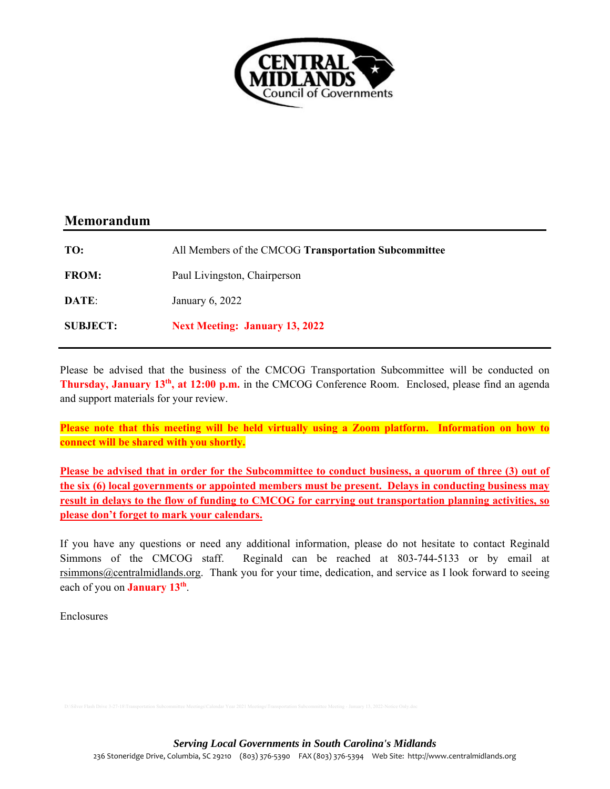

## **Memorandum**

| TO:             | All Members of the CMCOG Transportation Subcommittee |
|-----------------|------------------------------------------------------|
| <b>FROM:</b>    | Paul Livingston, Chairperson                         |
| DATE:           | January 6, 2022                                      |
| <b>SUBJECT:</b> | <b>Next Meeting: January 13, 2022</b>                |

Please be advised that the business of the CMCOG Transportation Subcommittee will be conducted on **Thursday, January 13th, at 12:00 p.m.** in the CMCOG Conference Room. Enclosed, please find an agenda and support materials for your review.

**Please note that this meeting will be held virtually using a Zoom platform. Information on how to connect will be shared with you shortly.** 

Please be advised that in order for the Subcommittee to conduct business, a quorum of three (3) out of **the six (6) local governments or appointed members must be present. Delays in conducting business may result in delays to the flow of funding to CMCOG for carrying out transportation planning activities, so please don't forget to mark your calendars.** 

If you have any questions or need any additional information, please do not hesitate to contact Reginald Simmons of the CMCOG staff. Reginald can be reached at 803-744-5133 or by email at rsimmons@centralmidlands.org. Thank you for your time, dedication, and service as I look forward to seeing each of you on **January 13th**.

Enclosures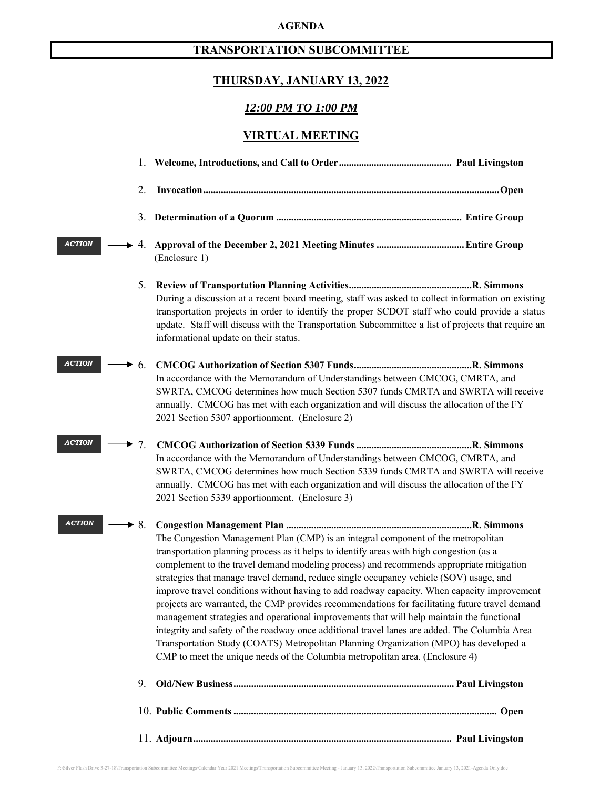### **AGENDA**

## **TRANSPORTATION SUBCOMMITTEE**

## **THURSDAY, JANUARY 13, 2022**

### *12:00 PM TO 1:00 PM*

## **VIRTUAL MEETING**

|               | 2.                       |                                                                                                                                                                                                                                                                                                                                                                                                                                                                                                                                                                                                                                                                                                                                                                                                                                                                                                                                             |  |
|---------------|--------------------------|---------------------------------------------------------------------------------------------------------------------------------------------------------------------------------------------------------------------------------------------------------------------------------------------------------------------------------------------------------------------------------------------------------------------------------------------------------------------------------------------------------------------------------------------------------------------------------------------------------------------------------------------------------------------------------------------------------------------------------------------------------------------------------------------------------------------------------------------------------------------------------------------------------------------------------------------|--|
|               | 3.                       |                                                                                                                                                                                                                                                                                                                                                                                                                                                                                                                                                                                                                                                                                                                                                                                                                                                                                                                                             |  |
| <b>ACTION</b> | 4.                       | (Enclosure 1)                                                                                                                                                                                                                                                                                                                                                                                                                                                                                                                                                                                                                                                                                                                                                                                                                                                                                                                               |  |
|               | 5.                       | During a discussion at a recent board meeting, staff was asked to collect information on existing<br>transportation projects in order to identify the proper SCDOT staff who could provide a status<br>update. Staff will discuss with the Transportation Subcommittee a list of projects that require an<br>informational update on their status.                                                                                                                                                                                                                                                                                                                                                                                                                                                                                                                                                                                          |  |
| <b>ACTION</b> | $\blacktriangleright$ 6. | In accordance with the Memorandum of Understandings between CMCOG, CMRTA, and<br>SWRTA, CMCOG determines how much Section 5307 funds CMRTA and SWRTA will receive<br>annually. CMCOG has met with each organization and will discuss the allocation of the FY<br>2021 Section 5307 apportionment. (Enclosure 2)                                                                                                                                                                                                                                                                                                                                                                                                                                                                                                                                                                                                                             |  |
| <b>ACTION</b> | 7.<br>,                  | In accordance with the Memorandum of Understandings between CMCOG, CMRTA, and<br>SWRTA, CMCOG determines how much Section 5339 funds CMRTA and SWRTA will receive<br>annually. CMCOG has met with each organization and will discuss the allocation of the FY<br>2021 Section 5339 apportionment. (Enclosure 3)                                                                                                                                                                                                                                                                                                                                                                                                                                                                                                                                                                                                                             |  |
| <b>ACTION</b> | $\blacktriangleright 8.$ | The Congestion Management Plan (CMP) is an integral component of the metropolitan<br>transportation planning process as it helps to identify areas with high congestion (as a<br>complement to the travel demand modeling process) and recommends appropriate mitigation<br>strategies that manage travel demand, reduce single occupancy vehicle (SOV) usage, and<br>improve travel conditions without having to add roadway capacity. When capacity improvement<br>projects are warranted, the CMP provides recommendations for facilitating future travel demand<br>management strategies and operational improvements that will help maintain the functional<br>integrity and safety of the roadway once additional travel lanes are added. The Columbia Area<br>Transportation Study (COATS) Metropolitan Planning Organization (MPO) has developed a<br>CMP to meet the unique needs of the Columbia metropolitan area. (Enclosure 4) |  |
|               | 9.                       |                                                                                                                                                                                                                                                                                                                                                                                                                                                                                                                                                                                                                                                                                                                                                                                                                                                                                                                                             |  |
|               |                          |                                                                                                                                                                                                                                                                                                                                                                                                                                                                                                                                                                                                                                                                                                                                                                                                                                                                                                                                             |  |
|               |                          |                                                                                                                                                                                                                                                                                                                                                                                                                                                                                                                                                                                                                                                                                                                                                                                                                                                                                                                                             |  |

F:\Silver Flash Drive 3-27-18\Transportation Subcommittee Meetings\Calendar Year 2021 Meetings\Transportation Subcommittee Meeting - January 13, 2022\Transportation Subcommittee January 13, 2021-Agenda Only.doc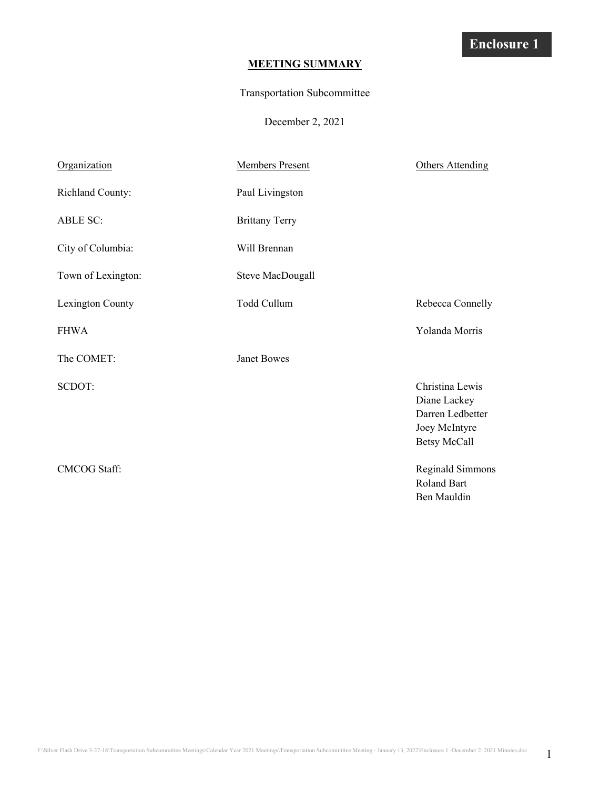## **MEETING SUMMARY**

### Transportation Subcommittee

December 2, 2021

| Organization        | <b>Members Present</b> | <b>Others Attending</b>                                                                     |
|---------------------|------------------------|---------------------------------------------------------------------------------------------|
| Richland County:    | Paul Livingston        |                                                                                             |
| <b>ABLE SC:</b>     | <b>Brittany Terry</b>  |                                                                                             |
| City of Columbia:   | Will Brennan           |                                                                                             |
| Town of Lexington:  | Steve MacDougall       |                                                                                             |
| Lexington County    | Todd Cullum            | Rebecca Connelly                                                                            |
| <b>FHWA</b>         |                        | Yolanda Morris                                                                              |
| The COMET:          | <b>Janet Bowes</b>     |                                                                                             |
| SCDOT:              |                        | Christina Lewis<br>Diane Lackey<br>Darren Ledbetter<br>Joey McIntyre<br><b>Betsy McCall</b> |
| <b>CMCOG Staff:</b> |                        | Reginald Simmons<br>Roland Bart<br>Ben Mauldin                                              |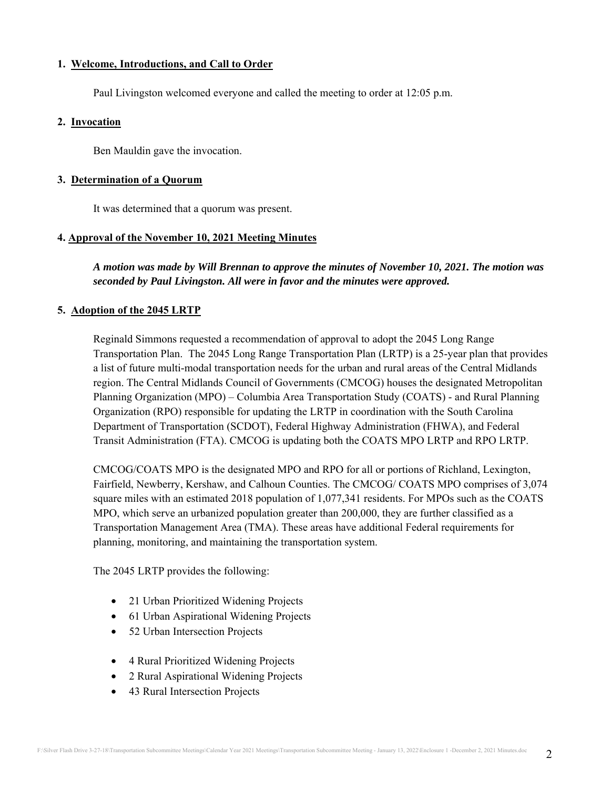### **1. Welcome, Introductions, and Call to Order**

Paul Livingston welcomed everyone and called the meeting to order at 12:05 p.m.

### **2. Invocation**

Ben Mauldin gave the invocation.

### **3. Determination of a Quorum**

It was determined that a quorum was present.

## **4. Approval of the November 10, 2021 Meeting Minutes**

*A motion was made by Will Brennan to approve the minutes of November 10, 2021. The motion was seconded by Paul Livingston. All were in favor and the minutes were approved.* 

## **5. Adoption of the 2045 LRTP**

Reginald Simmons requested a recommendation of approval to adopt the 2045 Long Range Transportation Plan. The 2045 Long Range Transportation Plan (LRTP) is a 25-year plan that provides a list of future multi-modal transportation needs for the urban and rural areas of the Central Midlands region. The Central Midlands Council of Governments (CMCOG) houses the designated Metropolitan Planning Organization (MPO) – Columbia Area Transportation Study (COATS) - and Rural Planning Organization (RPO) responsible for updating the LRTP in coordination with the South Carolina Department of Transportation (SCDOT), Federal Highway Administration (FHWA), and Federal Transit Administration (FTA). CMCOG is updating both the COATS MPO LRTP and RPO LRTP.

CMCOG/COATS MPO is the designated MPO and RPO for all or portions of Richland, Lexington, Fairfield, Newberry, Kershaw, and Calhoun Counties. The CMCOG/ COATS MPO comprises of 3,074 square miles with an estimated 2018 population of 1,077,341 residents. For MPOs such as the COATS MPO, which serve an urbanized population greater than 200,000, they are further classified as a Transportation Management Area (TMA). These areas have additional Federal requirements for planning, monitoring, and maintaining the transportation system.

The 2045 LRTP provides the following:

- 21 Urban Prioritized Widening Projects
- 61 Urban Aspirational Widening Projects
- 52 Urban Intersection Projects
- 4 Rural Prioritized Widening Projects
- 2 Rural Aspirational Widening Projects
- 43 Rural Intersection Projects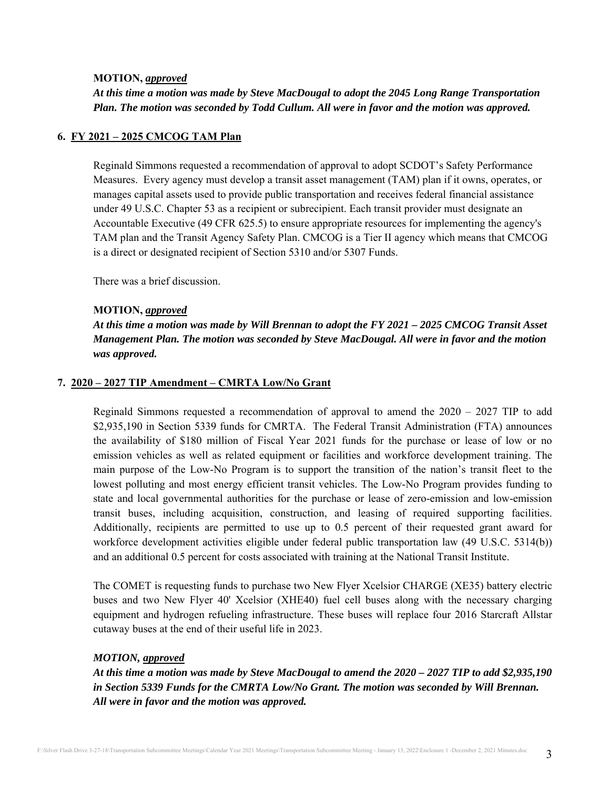#### **MOTION,** *approved*

*At this time a motion was made by Steve MacDougal to adopt the 2045 Long Range Transportation Plan. The motion was seconded by Todd Cullum. All were in favor and the motion was approved.* 

#### **6. FY 2021 – 2025 CMCOG TAM Plan**

Reginald Simmons requested a recommendation of approval to adopt SCDOT's Safety Performance Measures. Every agency must develop a transit asset management (TAM) plan if it owns, operates, or manages capital assets used to provide public transportation and receives federal financial assistance under 49 U.S.C. Chapter 53 as a recipient or subrecipient. Each transit provider must designate an Accountable Executive (49 CFR 625.5) to ensure appropriate resources for implementing the agency's TAM plan and the Transit Agency Safety Plan. CMCOG is a Tier II agency which means that CMCOG is a direct or designated recipient of Section 5310 and/or 5307 Funds.

There was a brief discussion.

#### **MOTION,** *approved*

*At this time a motion was made by Will Brennan to adopt the FY 2021 – 2025 CMCOG Transit Asset Management Plan. The motion was seconded by Steve MacDougal. All were in favor and the motion was approved.* 

#### **7. 2020 – 2027 TIP Amendment – CMRTA Low/No Grant**

Reginald Simmons requested a recommendation of approval to amend the  $2020 - 2027$  TIP to add \$2,935,190 in Section 5339 funds for CMRTA. The Federal Transit Administration (FTA) announces the availability of \$180 million of Fiscal Year 2021 funds for the purchase or lease of low or no emission vehicles as well as related equipment or facilities and workforce development training. The main purpose of the Low-No Program is to support the transition of the nation's transit fleet to the lowest polluting and most energy efficient transit vehicles. The Low-No Program provides funding to state and local governmental authorities for the purchase or lease of zero-emission and low-emission transit buses, including acquisition, construction, and leasing of required supporting facilities. Additionally, recipients are permitted to use up to 0.5 percent of their requested grant award for workforce development activities eligible under federal public transportation law (49 U.S.C. 5314(b)) and an additional 0.5 percent for costs associated with training at the National Transit Institute.

The COMET is requesting funds to purchase two New Flyer Xcelsior CHARGE (XE35) battery electric buses and two New Flyer 40' Xcelsior (XHE40) fuel cell buses along with the necessary charging equipment and hydrogen refueling infrastructure. These buses will replace four 2016 Starcraft Allstar cutaway buses at the end of their useful life in 2023.

### *MOTION, approved*

*At this time a motion was made by Steve MacDougal to amend the 2020 – 2027 TIP to add \$2,935,190 in Section 5339 Funds for the CMRTA Low/No Grant. The motion was seconded by Will Brennan. All were in favor and the motion was approved.*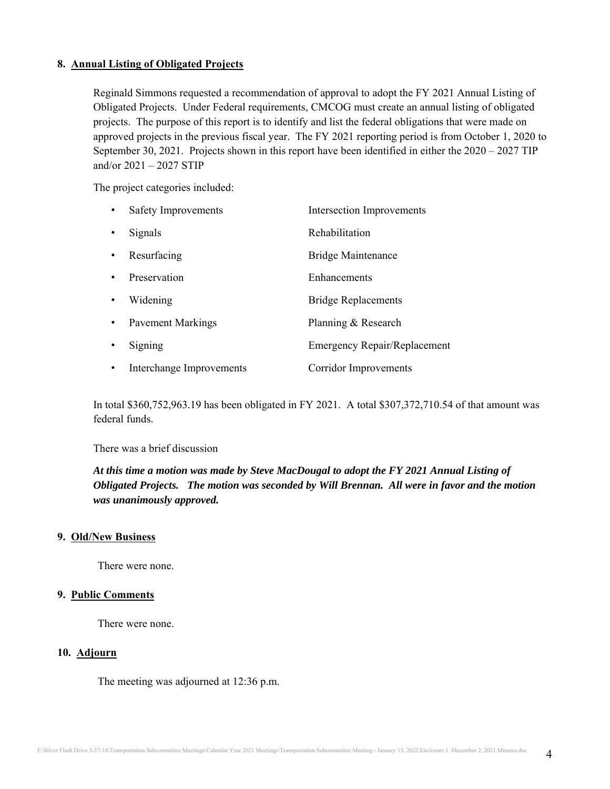### **8. Annual Listing of Obligated Projects**

Reginald Simmons requested a recommendation of approval to adopt the FY 2021 Annual Listing of Obligated Projects. Under Federal requirements, CMCOG must create an annual listing of obligated projects. The purpose of this report is to identify and list the federal obligations that were made on approved projects in the previous fiscal year. The FY 2021 reporting period is from October 1, 2020 to September 30, 2021. Projects shown in this report have been identified in either the 2020 – 2027 TIP and/or 2021 – 2027 STIP

The project categories included:

| $\bullet$ | Safety Improvements      | <b>Intersection Improvements</b>    |
|-----------|--------------------------|-------------------------------------|
| $\bullet$ | Signals                  | Rehabilitation                      |
| $\bullet$ | Resurfacing              | <b>Bridge Maintenance</b>           |
| $\bullet$ | Preservation             | Enhancements                        |
| $\bullet$ | Widening                 | <b>Bridge Replacements</b>          |
| $\bullet$ | <b>Pavement Markings</b> | Planning & Research                 |
| $\bullet$ | Signing                  | <b>Emergency Repair/Replacement</b> |
| $\bullet$ | Interchange Improvements | <b>Corridor Improvements</b>        |

In total \$360,752,963.19 has been obligated in FY 2021. A total \$307,372,710.54 of that amount was federal funds.

There was a brief discussion

*At this time a motion was made by Steve MacDougal to adopt the FY 2021 Annual Listing of Obligated Projects. The motion was seconded by Will Brennan. All were in favor and the motion was unanimously approved.* 

#### **9. Old/New Business**

There were none.

#### **9. Public Comments**

There were none.

#### **10. Adjourn**

The meeting was adjourned at 12:36 p.m.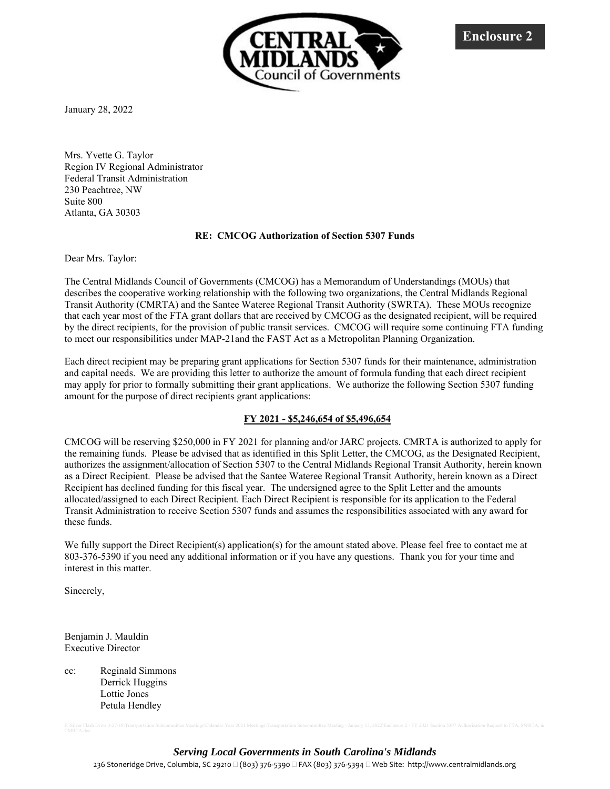

January 28, 2022

Mrs. Yvette G. Taylor Region IV Regional Administrator Federal Transit Administration 230 Peachtree, NW Suite 800 Atlanta, GA 30303

#### **RE: CMCOG Authorization of Section 5307 Funds**

Dear Mrs. Taylor:

The Central Midlands Council of Governments (CMCOG) has a Memorandum of Understandings (MOUs) that describes the cooperative working relationship with the following two organizations, the Central Midlands Regional Transit Authority (CMRTA) and the Santee Wateree Regional Transit Authority (SWRTA). These MOUs recognize that each year most of the FTA grant dollars that are received by CMCOG as the designated recipient, will be required by the direct recipients, for the provision of public transit services. CMCOG will require some continuing FTA funding to meet our responsibilities under MAP-21and the FAST Act as a Metropolitan Planning Organization.

Each direct recipient may be preparing grant applications for Section 5307 funds for their maintenance, administration and capital needs. We are providing this letter to authorize the amount of formula funding that each direct recipient may apply for prior to formally submitting their grant applications. We authorize the following Section 5307 funding amount for the purpose of direct recipients grant applications:

#### **FY 2021 - \$5,246,654 of \$5,496,654**

CMCOG will be reserving \$250,000 in FY 2021 for planning and/or JARC projects. CMRTA is authorized to apply for the remaining funds. Please be advised that as identified in this Split Letter, the CMCOG, as the Designated Recipient, authorizes the assignment/allocation of Section 5307 to the Central Midlands Regional Transit Authority, herein known as a Direct Recipient. Please be advised that the Santee Wateree Regional Transit Authority, herein known as a Direct Recipient has declined funding for this fiscal year. The undersigned agree to the Split Letter and the amounts allocated/assigned to each Direct Recipient. Each Direct Recipient is responsible for its application to the Federal Transit Administration to receive Section 5307 funds and assumes the responsibilities associated with any award for these funds.

We fully support the Direct Recipient(s) application(s) for the amount stated above. Please feel free to contact me at 803-376-5390 if you need any additional information or if you have any questions. Thank you for your time and interest in this matter.

Sincerely,

Benjamin J. Mauldin Executive Director

cc: Reginald Simmons Derrick Huggins Lottie Jones Petula Hendley

*Serving Local Governments in South Carolina's Midlands*

236 Stoneridge Drive, Columbia, SC 29210 □ (803) 376-5390 □ FAX (803) 376-5394 □ Web Site: http://www.centralmidlands.org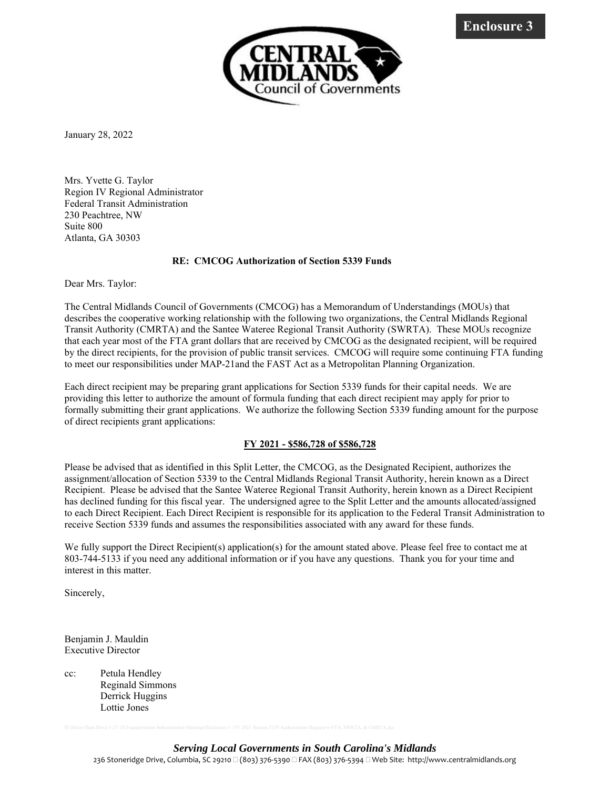

January 28, 2022

Mrs. Yvette G. Taylor Region IV Regional Administrator Federal Transit Administration 230 Peachtree, NW Suite 800 Atlanta, GA 30303

#### **RE: CMCOG Authorization of Section 5339 Funds**

Dear Mrs. Taylor:

The Central Midlands Council of Governments (CMCOG) has a Memorandum of Understandings (MOUs) that describes the cooperative working relationship with the following two organizations, the Central Midlands Regional Transit Authority (CMRTA) and the Santee Wateree Regional Transit Authority (SWRTA). These MOUs recognize that each year most of the FTA grant dollars that are received by CMCOG as the designated recipient, will be required by the direct recipients, for the provision of public transit services. CMCOG will require some continuing FTA funding to meet our responsibilities under MAP-21and the FAST Act as a Metropolitan Planning Organization.

Each direct recipient may be preparing grant applications for Section 5339 funds for their capital needs. We are providing this letter to authorize the amount of formula funding that each direct recipient may apply for prior to formally submitting their grant applications. We authorize the following Section 5339 funding amount for the purpose of direct recipients grant applications:

#### **FY 2021 - \$586,728 of \$586,728**

Please be advised that as identified in this Split Letter, the CMCOG, as the Designated Recipient, authorizes the assignment/allocation of Section 5339 to the Central Midlands Regional Transit Authority, herein known as a Direct Recipient. Please be advised that the Santee Wateree Regional Transit Authority, herein known as a Direct Recipient has declined funding for this fiscal year. The undersigned agree to the Split Letter and the amounts allocated/assigned to each Direct Recipient. Each Direct Recipient is responsible for its application to the Federal Transit Administration to receive Section 5339 funds and assumes the responsibilities associated with any award for these funds.

We fully support the Direct Recipient(s) application(s) for the amount stated above. Please feel free to contact me at 803-744-5133 if you need any additional information or if you have any questions. Thank you for your time and interest in this matter.

Sincerely,

Benjamin J. Mauldin Executive Director

cc: Petula Hendley Reginald Simmons Derrick Huggins Lottie Jones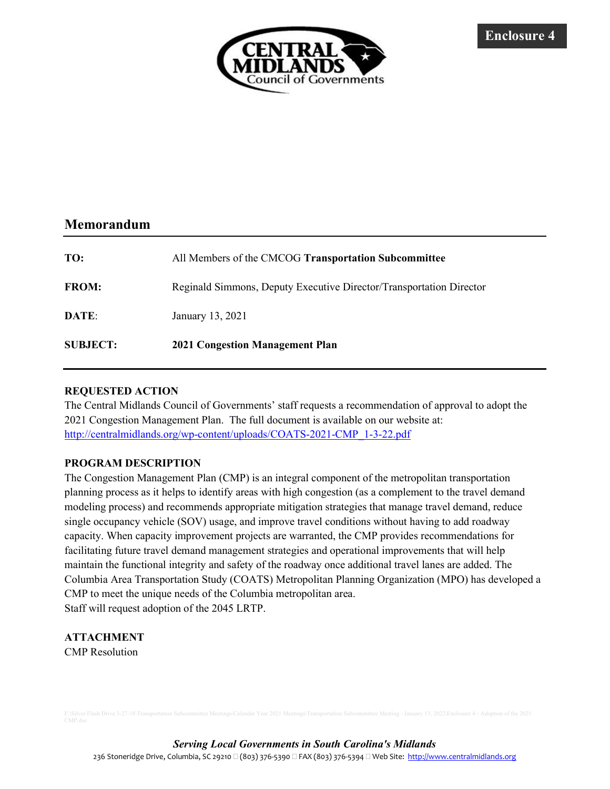

## Memorandum

| TO:             | All Members of the CMCOG Transportation Subcommittee                |
|-----------------|---------------------------------------------------------------------|
| <b>FROM:</b>    | Reginald Simmons, Deputy Executive Director/Transportation Director |
| DATE:           | January 13, 2021                                                    |
| <b>SUBJECT:</b> | <b>2021 Congestion Management Plan</b>                              |

## REQUESTED ACTION

The Central Midlands Council of Governments' staff requests a recommendation of approval to adopt the 2021 Congestion Management Plan. The full document is available on our website at: http://centralmidlands.org/wp-content/uploads/COATS-2021-CMP\_1-3-22.pdf

### PROGRAM DESCRIPTION

The Congestion Management Plan (CMP) is an integral component of the metropolitan transportation planning process as it helps to identify areas with high congestion (as a complement to the travel demand modeling process) and recommends appropriate mitigation strategies that manage travel demand, reduce single occupancy vehicle (SOV) usage, and improve travel conditions without having to add roadway capacity. When capacity improvement projects are warranted, the CMP provides recommendations for facilitating future travel demand management strategies and operational improvements that will help maintain the functional integrity and safety of the roadway once additional travel lanes are added. The Columbia Area Transportation Study (COATS) Metropolitan Planning Organization (MPO) has developed a CMP to meet the unique needs of the Columbia metropolitan area. Staff will request adoption of the 2045 LRTP.

## ATTACHMENT

CMP Resolution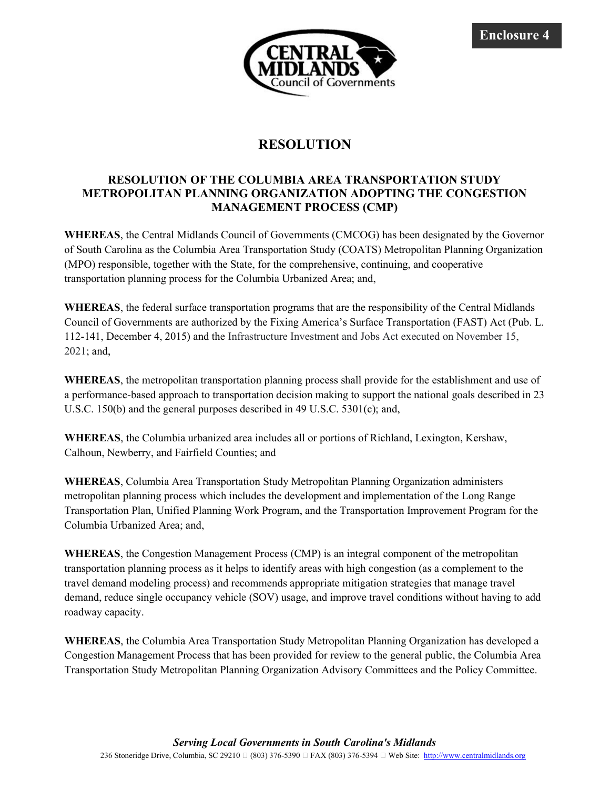

# RESOLUTION

## RESOLUTION OF THE COLUMBIA AREA TRANSPORTATION STUDY METROPOLITAN PLANNING ORGANIZATION ADOPTING THE CONGESTION MANAGEMENT PROCESS (CMP)

WHEREAS, the Central Midlands Council of Governments (CMCOG) has been designated by the Governor of South Carolina as the Columbia Area Transportation Study (COATS) Metropolitan Planning Organization (MPO) responsible, together with the State, for the comprehensive, continuing, and cooperative transportation planning process for the Columbia Urbanized Area; and,

WHEREAS, the federal surface transportation programs that are the responsibility of the Central Midlands Council of Governments are authorized by the Fixing America's Surface Transportation (FAST) Act (Pub. L. 112-141, December 4, 2015) and the Infrastructure Investment and Jobs Act executed on November 15, 2021; and,

WHEREAS, the metropolitan transportation planning process shall provide for the establishment and use of a performance-based approach to transportation decision making to support the national goals described in 23 U.S.C. 150(b) and the general purposes described in 49 U.S.C. 5301(c); and,

WHEREAS, the Columbia urbanized area includes all or portions of Richland, Lexington, Kershaw, Calhoun, Newberry, and Fairfield Counties; and

WHEREAS, Columbia Area Transportation Study Metropolitan Planning Organization administers metropolitan planning process which includes the development and implementation of the Long Range Transportation Plan, Unified Planning Work Program, and the Transportation Improvement Program for the Columbia Urbanized Area; and,

WHEREAS, the Congestion Management Process (CMP) is an integral component of the metropolitan transportation planning process as it helps to identify areas with high congestion (as a complement to the travel demand modeling process) and recommends appropriate mitigation strategies that manage travel demand, reduce single occupancy vehicle (SOV) usage, and improve travel conditions without having to add roadway capacity.

WHEREAS, the Columbia Area Transportation Study Metropolitan Planning Organization has developed a Congestion Management Process that has been provided for review to the general public, the Columbia Area Transportation Study Metropolitan Planning Organization Advisory Committees and the Policy Committee.